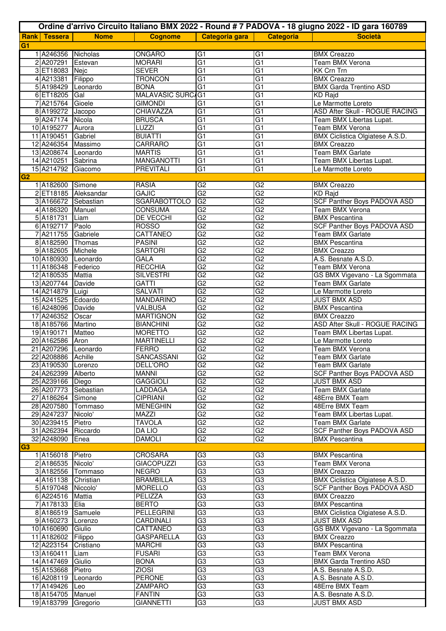|                |                                          |                      |                                       |                      |                       | Ordine d'arrivo Circuito Italiano BMX 2022 - Round # 7 PADOVA - 18 giugno 2022 - ID gara 160789 |
|----------------|------------------------------------------|----------------------|---------------------------------------|----------------------|-----------------------|-------------------------------------------------------------------------------------------------|
|                | <b>Rank Tessera</b>                      | <b>Nome</b>          | <b>Cognome</b>                        | Categoria gara       | <b>Categoria</b>      | <b>Società</b>                                                                                  |
| G <sub>1</sub> |                                          |                      |                                       |                      |                       |                                                                                                 |
|                | 1 A246356 Nicholas                       |                      | ONGARO                                | G <sub>1</sub>       | G1                    | <b>BMX Creazzo</b>                                                                              |
|                | 2 A207291 Estevan                        |                      | <b>MORARI</b>                         | G <sub>1</sub>       | $\overline{G1}$       | Team BMX Verona                                                                                 |
|                | 3 ET18083 Nejc                           |                      | <b>SEVER</b>                          | G1                   | G1                    | <b>KK Crn Trn</b>                                                                               |
|                | 4 A213381                                | Filippo              | <b>TRONCON</b>                        | G1                   | $\overline{G1}$       | <b>BMX Creazzo</b>                                                                              |
|                | 5 A198429 Leonardo                       |                      | <b>BONA</b>                           | G <sub>1</sub>       | $\overline{G1}$       | <b>BMX Garda Trentino ASD</b>                                                                   |
|                | 6 ET18205 Gal                            |                      | MALAVAŠIC ŠURC/G1                     |                      | $\overline{G1}$       | <b>KD</b> Rajd                                                                                  |
|                | 7 A215764 Gioele                         |                      | <b>GIMONDI</b>                        | G <sub>1</sub>       | $\overline{G1}$       | Le Marmotte Loreto                                                                              |
|                | 8 A199272 Jacopo                         |                      | CHIAVAZZA                             | G <sub>1</sub>       | G <sub>1</sub>        | ASD After Skull - ROGUE RACING                                                                  |
|                | 9 A247174 Nicola                         |                      | <b>BRUSCA</b>                         | $\overline{G1}$      | $\overline{G1}$       | Team BMX Libertas Lupat.                                                                        |
|                | 10 A195277 Aurora                        |                      | <b>LUZZI</b>                          | G1                   | G1                    | Team BMX Verona                                                                                 |
|                | 11 A190451                               | Gabriel              | <b>BUIATTI</b>                        | G1                   | $\overline{G1}$       | <b>BMX Ciclistica Olgiatese A.S.D.</b>                                                          |
|                | 12 A246354 Massimo                       |                      | <b>CARRARO</b>                        | G1                   | $\overline{G1}$       | <b>BMX Creazzo</b>                                                                              |
|                | 13 A208674 Leonardo                      |                      | <b>MARTIS</b>                         | G1<br>G1             | $\overline{G1}$<br>G1 | <b>Team BMX Garlate</b>                                                                         |
|                | 14 A210251<br>15 A214792 Giacomo         | Sabrina              | <b>MANGANOTTI</b><br><b>PREVITALI</b> | G1                   | $\overline{G1}$       | Team BMX Libertas Lupat.<br>Le Marmotte Loreto                                                  |
| G2             |                                          |                      |                                       |                      |                       |                                                                                                 |
|                | 1 A182600 Simone                         |                      | <b>RASIA</b>                          | G2                   | G2                    | <b>BMX Creazzo</b>                                                                              |
|                |                                          | 2 ET18185 Aleksandar | <b>GAJIC</b>                          | G2                   | G2                    | <b>KD Rajd</b>                                                                                  |
|                | 3 A166672 Sebastian                      |                      | <b>SGARABOTTOLO</b>                   | G <sub>2</sub>       | $\overline{G2}$       | <b>SCF Panther Boys PADOVA ASD</b>                                                              |
|                | 4 A186320 Manuel                         |                      | CONSUMA                               | G2                   | $\overline{G2}$       | Team BMX Verona                                                                                 |
|                | 5 A181731 Liam                           |                      | <b>DE VECCHI</b>                      | G <sub>2</sub>       | G2                    | <b>BMX Pescantina</b>                                                                           |
|                | 6 A192717 Paolo                          |                      | <b>ROSSO</b>                          | G <sub>2</sub>       | G2                    | <b>SCF Panther Boys PADOVA ASD</b>                                                              |
|                | 7 A211755 Gabriele                       |                      | CATTANEO                              | G <sub>2</sub>       | G2                    | <b>Team BMX Garlate</b>                                                                         |
|                | 8 A182590 Thomas                         |                      | <b>PASINI</b>                         | G2                   | G2                    | <b>BMX Pescantina</b>                                                                           |
|                | 9 A182605 Michele                        |                      | <b>SARTORI</b>                        | G2                   | G2                    | <b>BMX Creazzo</b>                                                                              |
|                | 10 A180930 Leonardo                      |                      | GALA                                  | G2                   | $\overline{G2}$       | A.S. Besnate A.S.D.                                                                             |
|                | 11 A186348 Federico                      |                      | <b>RECCHIA</b>                        | G <sub>2</sub>       | G2                    | Team BMX Verona                                                                                 |
|                | 12 A180535 Mattia                        |                      | <b>SILVESTRI</b>                      | G <sub>2</sub>       | G2                    | GS BMX Vigevano - La Sgommata                                                                   |
|                | 13 A207744 Davide                        |                      | <b>GATTI</b>                          | G2                   | G2                    | <b>Team BMX Garlate</b>                                                                         |
|                | 14 A214879 Luigi                         |                      | <b>SALVATI</b>                        | G2                   | $\overline{G2}$       | Le Marmotte Loreto                                                                              |
|                | 15 A241525 Edoardo                       |                      | MANDARINO                             | G2                   | $\overline{G2}$       | <b>JUST BMX ASD</b>                                                                             |
|                | 16 A248096 Davide                        |                      | <b>VALBUSA</b>                        | G <sub>2</sub>       | G2                    | <b>BMX</b> Pescantina                                                                           |
|                | 17 A246352 Oscar                         |                      | <b>MARTIGNON</b>                      | G <sub>2</sub>       | G2                    | <b>BMX Creazzo</b>                                                                              |
|                | 18 A185766 Martino                       |                      | <b>BIANCHINI</b>                      | G <sub>2</sub>       | G2                    | ASD After Skull - ROGUE RACING                                                                  |
|                | 19 A190171 Matteo                        |                      | <b>MORETTO</b>                        | G <sub>2</sub>       | G2                    | Team BMX Libertas Lupat.                                                                        |
|                | 20 A162586 Aron                          |                      | <b>MARTINELLI</b>                     | G <sub>2</sub>       | G2                    | Le Marmotte Loreto                                                                              |
|                | 21 A207296 Leonardo                      |                      | <b>FERRO</b>                          | G <sub>2</sub>       | G2                    | Team BMX Verona                                                                                 |
|                | 22 A208886 Achille<br>23 A190530 Lorenzo |                      | SANCASSANI                            | G <sub>2</sub><br>G2 | G2<br>G2              | <b>Team BMX Garlate</b>                                                                         |
|                | 24 A262399 Alberto                       |                      | DELL'ORO<br>MANNI                     | G2                   | $\overline{G2}$       | Team BMX Garlate<br><b>SCF Panther Boys PADOVA ASD</b>                                          |
|                | 25 A239166 Diego                         |                      | <b>GAGGIOLI</b>                       | G2                   | $\overline{G2}$       | <b>JUST BMX ASD</b>                                                                             |
|                | 26 A207773 Sebastian                     |                      | LADDAGA                               | G <sub>2</sub>       | G2                    | <b>Team BMX Garlate</b>                                                                         |
|                | 27 A186264 Simone                        |                      | <b>CIPRIANI</b>                       | G <sub>2</sub>       | $\overline{G2}$       | 48Erre BMX Team                                                                                 |
|                | 28 A207580 Tommaso                       |                      | <b>MENEGHIN</b>                       | G <sub>2</sub>       | $\overline{G2}$       | 48Erre BMX Team                                                                                 |
|                | 29 A247237 Nicolo'                       |                      | MAZZI                                 | G2                   | G2                    | Team BMX Libertas Lupat.                                                                        |
|                | 30 A239415 Pietro                        |                      | <b>TAVOLA</b>                         | G2                   | G2                    | Team BMX Garlate                                                                                |
|                | 31 A262394 Riccardo                      |                      | <b>DA LIO</b>                         | G2                   | $\overline{G2}$       | SCF Panther Boys PADOVA ASD                                                                     |
|                | 32 A248090                               | Enea                 | <b>DAMOLI</b>                         | G <sub>2</sub>       | $\overline{G2}$       | <b>BMX Pescantina</b>                                                                           |
| G3             |                                          |                      |                                       |                      |                       |                                                                                                 |
|                | 1 A156018 Pietro                         |                      | <b>CROSARA</b>                        | G3                   | G <sub>3</sub>        | <b>BMX Pescantina</b>                                                                           |
|                | 2 A186535 Nicolo'                        |                      | <b>GIACOPUZZI</b>                     | G3                   | $\overline{G3}$       | Team BMX Verona                                                                                 |
|                | 3 A182556 Tommaso                        |                      | <b>NEGRO</b>                          | G3                   | $\overline{G3}$       | <b>BMX Creazzo</b>                                                                              |
|                | 4 A161138 Christian                      |                      | <b>BRAMBILLA</b>                      | G3                   | G3                    | BMX Ciclistica Olgiatese A.S.D.                                                                 |
|                | 5 A197048 Niccolo'                       |                      | <b>MORELLO</b>                        | G3                   | G3                    | SCF Panther Boys PADOVA ASD                                                                     |
|                | 6 A224516 Mattia<br>7 A178133 Elia       |                      | PELIZZA<br><b>BERTO</b>               | G3<br>G3             | G3<br>G3              | <b>BMX Creazzo</b><br><b>BMX Pescantina</b>                                                     |
|                |                                          |                      | <b>PELLEGRINI</b>                     | G3                   | $\overline{G3}$       |                                                                                                 |
|                | 8 A186519 Samuele<br>9 A160273 Lorenzo   |                      | CARDINALI                             | G3                   | $\overline{G3}$       | BMX Ciclistica Olgiatese A.S.D.<br><b>JUST BMX ASD</b>                                          |
|                | 10 A160690 Giulio                        |                      | CATTANEO                              | G3                   | $\overline{G3}$       | GS BMX Vigevano - La Sgommata                                                                   |
|                | 11 A182602 Filippo                       |                      | <b>GASPARELLA</b>                     | G <sub>3</sub>       | G3                    | <b>BMX Creazzo</b>                                                                              |
|                | 12 A223154 Cristiano                     |                      | <b>MARCHI</b>                         | G3                   | G3                    | <b>BMX Pescantina</b>                                                                           |
|                | 13 A160411                               | Liam                 | <b>FUSARI</b>                         | G <sub>3</sub>       | G <sub>3</sub>        | Team BMX Verona                                                                                 |
|                | 14 A147469 Giulio                        |                      | <b>BONA</b>                           | G3                   | G3                    | <b>BMX Garda Trentino ASD</b>                                                                   |
|                | 15 A153668 Pietro                        |                      | <b>ZIOSI</b>                          | G3                   | G3                    | A.S. Besnate A.S.D.                                                                             |
|                | 16 A208119 Leonardo                      |                      | <b>PERONE</b>                         | G3                   | G3                    | A.S. Besnate A.S.D.                                                                             |
|                | 17 A149426 Leo                           |                      | ZAMPARO                               | G3                   | G3                    | 48Erre BMX Team                                                                                 |
|                | 18 A154705 Manuel                        |                      | <b>FANTIN</b>                         | G3                   | G3                    | A.S. Besnate A.S.D.                                                                             |
|                | 19 A183799 Gregorio                      |                      | <b>GIANNETTI</b>                      | G <sub>3</sub>       | G <sub>3</sub>        | <b>JUST BMX ASD</b>                                                                             |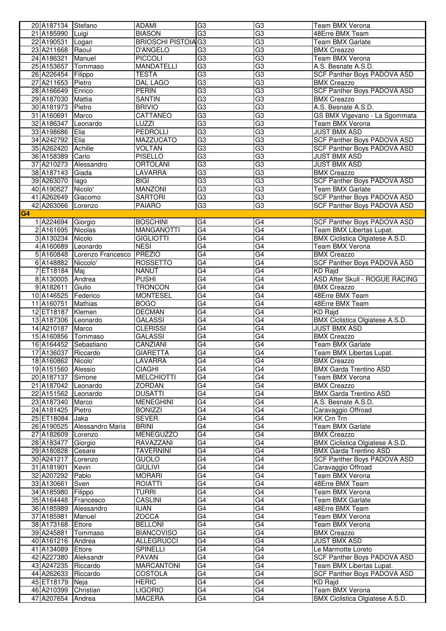|                | 20 A187134 Stefano  |                   | ADAMI                      | G <sub>3</sub>  | G <sub>3</sub>  | Team BMX Verona                        |
|----------------|---------------------|-------------------|----------------------------|-----------------|-----------------|----------------------------------------|
|                | 21 A185990          | Luigi             | <b>BIASON</b>              | G3              | G3              | 48Erre BMX Team                        |
|                | 22 A190531          | Logan             | <b>BRIOSCHI PISTOIA G3</b> |                 | $\overline{G3}$ | <b>Team BMX Garlate</b>                |
|                | 23 A211668          | Raoul             | D'ANGELO                   | G3              | G3              | <b>BMX Creazzo</b>                     |
|                | 24 A186321          | Manuel            | <b>PICCOLI</b>             | G3              | G3              | <b>Team BMX Verona</b>                 |
|                | 25 A153657          | Tommaso           | <b>MANDATELLI</b>          | G3              | G3              | A.S. Besnate A.S.D.                    |
|                | 26 A226454          | Filippo           | <b>TESTA</b>               | G3              | G3              | <b>SCF Panther Boys PADOVA ASD</b>     |
|                | 27 A211653          | Pietro            | <b>DAL LAGO</b>            | G3              | G3              | <b>BMX Creazzo</b>                     |
|                | 28 A166649 Enrico   |                   | <b>PERIN</b>               | G3              | G3              | <b>SCF Panther Boys PADOVA ASD</b>     |
|                | 29 A187030          | Mattia            | <b>SANTIN</b>              | G3              | G3              | <b>BMX Creazzo</b>                     |
|                | 30 A181973          | Pietro            | <b>BRIVIO</b>              | G3              | G3              | A.S. Besnate A.S.D.                    |
|                | 31 A160691          | Marco             | CATTANEO                   | G3              | G3              | GS BMX Vigevano - La Sgommata          |
|                | 32 A186347          | Leonardo          | <b>LUZZI</b>               | G3              | G3              | <b>Team BMX Verona</b>                 |
|                | 33 A198686          | Elia              | <b>PEDROLLI</b>            | G3              | G3              | <b>JUST BMX ASD</b>                    |
|                | 34 A242792          | Elia              | <b>MAZZUCATO</b>           | G3              | G3              | <b>SCF Panther Boys PADOVA ASD</b>     |
|                | 35 A262420          | Achille           | VOLTAN                     | G3              | G3              | <b>SCF Panther Boys PADOVA ASD</b>     |
|                | 36 A158389          | Carlo             | <b>PISELLO</b>             | G3              | G3              | <b>JUST BMX ASD</b>                    |
|                | 37 A210273          | Alessandro        | <b>ORTOLANI</b>            | G3              | G3              | <b>JUST BMX ASD</b>                    |
|                | 38 A187143          | Giada             | LAVARRA                    | G3              | $\overline{G3}$ | <b>BMX Creazzo</b>                     |
|                | 39 A263070          | lago              | <b>BIGI</b>                | G3              | $\overline{G3}$ | SCF Panther Boys PADOVA ASD            |
|                | 40 A190527          | Nicolo'           | <b>MANZONI</b>             | G3              | G3              | Team BMX Garlate                       |
|                | 41 A262649          | Giacomo           | <b>SARTORI</b>             | G3              | G3              | SCF Panther Boys PADOVA ASD            |
|                | 42 A263066          | Lorenzo           | <b>PAIARO</b>              | G3              | G3              | <b>SCF Panther Boys PADOVA ASD</b>     |
| G <sub>4</sub> |                     |                   |                            |                 |                 |                                        |
|                | 1 A224694           | Giorgio           | <b>BOSCHINI</b>            | G4              | G4              | SCF Panther Boys PADOVA ASD            |
|                | 2 A161695           | Nicolas           | <b>MANGANOTTI</b>          | G4              | G4              | Team BMX Libertas Lupat.               |
|                | 3 A130234           | Nicolo            | <b>GIGLIOTTI</b>           | G4              | G4              | <b>BMX Ciclistica Olgiatese A.S.D.</b> |
|                | 4 A160689           | Leonardo          | <b>NESI</b>                | G4              | G4              | Team BMX Verona                        |
|                | 5 A160848           | Lorenzo Francesco | PREZIO                     | G4              | G4              | <b>BMX Creazzo</b>                     |
|                | 6 A148882           | Niccolo'          | <b>ROSSETTO</b>            | G4              | G4              | <b>SCF Panther Boys PADOVA ASD</b>     |
|                | 7 ET18184           | Mai               | NANUT                      | G4              | $\overline{G4}$ | <b>KD Rajd</b>                         |
|                | 8 A130005           | Andrea            | <b>PUSHI</b>               | G4              | G4              | <b>ASD After Skull - ROGUE RACING</b>  |
|                | 9 A182611           | Giulio            | <b>TRONCON</b>             | G4              | G4              | <b>BMX Creazzo</b>                     |
|                | 10 A146525          | Federico          | <b>MONTESEL</b>            | G4              | G4              | 48Erre BMX Team                        |
|                | 11 A160751          | Mathias           | <b>BOGO</b>                | G4              | G4              | 48Erre BMX Team                        |
|                | 12 ET18187          | Klemen            | <b>DECMAN</b>              | G4              | G4              | <b>KD Rajd</b>                         |
|                | 13 A187306          | Leonardo          | <b>GALASSI</b>             | G4              | $\overline{G4}$ | <b>BMX Ciclistica Olgiatese A.S.D.</b> |
|                | 14 A210187          | Marco             | <b>CLERISSI</b>            | $\overline{G4}$ | G4              | <b>JUST BMX ASD</b>                    |
|                | 15 A160856          | Tommaso           | <b>GALASSI</b>             | G4              | G4              | <b>BMX Creazzo</b>                     |
|                | 16 A164452          | Sebastiano        | <b>CANZIANI</b>            | G4              | G4              | <b>Team BMX Garlate</b>                |
|                | 17 A136037 Riccardo |                   | <b>GIARETTA</b>            | G4              | G4              | Team BMX Libertas Lupat.               |
|                | 18 A160862 Nicolo'  |                   | LAVARRA                    | G4              | G4              | <b>BMX Creazzo</b>                     |
|                | 19 A151560 Alessio  |                   | <b>CIAGHI</b>              | G4              | $\overline{G4}$ | <b>BMX Garda Trentino ASD</b>          |
|                | 20 A187137          | Simone            | <b>MELCHIOTTI</b>          | $\overline{G4}$ | G4              | Team BMX Verona                        |
|                | 21 A187042 Leonardo |                   | <b>ZORDAN</b>              | G4              | G4              | <b>BMX Creazzo</b>                     |
|                | 22 A151562 Leonardo |                   | <b>DUSATTI</b>             | G4              | G4              | <b>BMX Garda Trentino ASD</b>          |
|                | 23 A187340 Marco    |                   | <b>MENEGHINI</b>           | G4              | G4              | A.S. Besnate A.S.D.                    |
|                | 24 A181425          | Pietro            | <b>BONIZZI</b>             | G4              | G4              | Caravaggio Offroad                     |
|                | 25 ET18084          | Jaka              | <b>SEVER</b>               | G4              | $\overline{G4}$ | <b>KK Crn Trn</b>                      |
|                | 26 A190525          | Alessandro Maria  | <b>BRINI</b>               | G4              | $\overline{G4}$ | Team BMX Garlate                       |
|                | 27 A182609          | Lorenzo           | <b>MENEGUZZO</b>           | G4              | G4              | <b>BMX Creazzo</b>                     |
|                | 28 A183477          | Giorgio           | RAVAZZANI                  | G4              | G4              | <b>BMX Ciclistica Olgiatese A.S.D.</b> |
|                | 29 A180828          | Cesare            | TAVERNINI                  | G4              | G4              | <b>BMX Garda Trentino ASD</b>          |
|                | 30 A241217          | Lorenzo           | <b>GUOLO</b>               | G4              | $\overline{G4}$ | SCF Panther Boys PADOVA ASD            |
|                | 31 A181901          | Kevin             | <b>GIULIVI</b>             | $\overline{G4}$ | G4              | Caravaggio Offroad                     |
|                | 32 A207292          | Pablo             | <b>MORARI</b>              | G4              | $\overline{G4}$ | Team BMX Verona                        |
|                | 33 A130661          | Sven              | ROIATTI                    | G4              | G4              | 48Erre BMX Team                        |
|                | 34 A185980          | Filippo           | <b>TURRI</b>               | G4              | G4              | Team BMX Verona                        |
|                | 35 A164448          | Francesco         | <b>CASLINI</b>             | G4              | $\overline{G4}$ | <b>Team BMX Garlate</b>                |
|                | 36 A185989          | Alessandro        | IUAN                       | G4              | $\overline{G4}$ | 48Erre BMX Team                        |
|                | 37 A185981          | Manuel            | <b>ZOCCA</b>               | G4              | G4              | Team BMX Verona                        |
|                | 38 A173168          | Ettore            | <b>BELLONI</b>             | G4              | G4              | Team BMX Verona                        |
|                | 39 A245881          | Tommaso           | <b>BIANCOVISO</b>          | G4              | G4              | <b>BMX Creazzo</b>                     |
|                | 40 A161216          | Andrea            | <b>ALLEGRUCCI</b>          | G4              | G4              | <b>JUST BMX ASD</b>                    |
|                | 41 A134089          | Ettore            | <b>SPINELLI</b>            | G4              | $\overline{G4}$ | Le Marmotte Loreto                     |
|                | 42 A227380          | Aleksandr         | PAVAN                      | G4              | $\overline{G4}$ | SCF Panther Boys PADOVA ASD            |
|                | 43 A247235          | Riccardo          | <b>MARCANTONI</b>          | G4              | G4              | Team BMX Libertas Lupat.               |
|                | 44 A262633          | Riccardo          | <b>COSTOLA</b>             | G4              | G4              | <b>SCF Panther Boys PADOVA ASD</b>     |
|                | 45 ET18179          | Neja              | <b>HERIC</b>               | G4              | G4              | <b>KD Rajd</b>                         |
|                | 46 A210399          | Christian         | <b>LIGORIO</b>             | G4              | G4              | <b>Team BMX Verona</b>                 |
|                | 47 A207654          | Andrea            | <b>MACERA</b>              | G4              | G4              | <b>BMX Ciclistica Olgiatese A.S.D.</b> |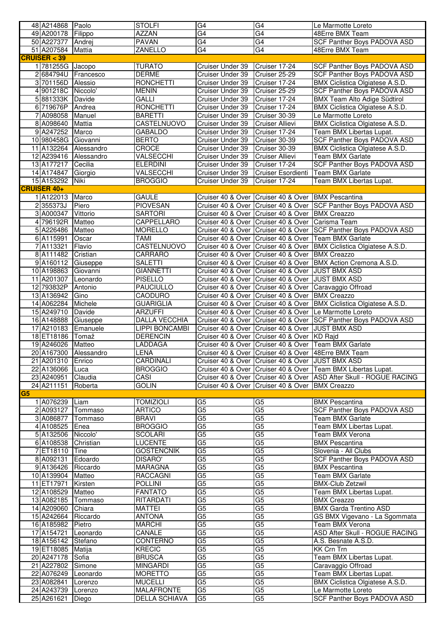| 48 A214868 Paolo       |            | <b>STOLFI</b>        | G4               | G4                                                     | Le Marmotte Loreto                                                      |
|------------------------|------------|----------------------|------------------|--------------------------------------------------------|-------------------------------------------------------------------------|
| 49 A200178 Filippo     |            | <b>AZZAN</b>         | $\overline{G4}$  | G4                                                     | 48Erre BMX Team                                                         |
| 50 A227377 Andrej      |            | <b>PAVAN</b>         | G4               | G4                                                     | SCF Panther Boys PADOVA ASD                                             |
| 51 A207584             | Mattia     | <b>ZANELLO</b>       | G4               | G4                                                     | 48Erre BMX Team                                                         |
| <b>CRUISER &lt; 39</b> |            |                      |                  |                                                        |                                                                         |
| 1 781255G Jacopo       |            | <b>TURATO</b>        | Cruiser Under 39 | Cruiser 17-24                                          | <b>SCF Panther Boys PADOVA ASD</b>                                      |
| 2684794U Francesco     |            | DERME                | Cruiser Under 39 | Cruiser 25-29                                          | SCF Panther Boys PADOVA ASD                                             |
| 3 701156D              | Alessio    | <b>RONCHETTI</b>     | Cruiser Under 39 | Cruiser 17-24                                          | BMX Ciclistica Olgiatese A.S.D.                                         |
| 4 901218C Niccolo'     |            | <b>MENIN</b>         |                  | Cruiser 25-29                                          | <b>SCF Panther Boys PADOVA ASD</b>                                      |
|                        |            |                      | Cruiser Under 39 |                                                        |                                                                         |
| 5881333K Davide        |            | <b>GALLI</b>         | Cruiser Under 39 | Cruiser 17-24                                          | <b>BMX Team Alto Adige Südtirol</b>                                     |
| 6 719676P Andrea       |            | <b>RONCHETTI</b>     | Cruiser Under 39 | Cruiser 17-24                                          | BMX Ciclistica Olgiatese A.S.D.                                         |
| 7 A098058              | Manuel     | <b>BARETTI</b>       | Cruiser Under 39 | Cruiser 30-39                                          | Le Marmotte Loreto                                                      |
| 8 A098640              | Mattia     | CASTELNUOVO          | Cruiser Under 39 | Cruiser Allievi                                        | <b>BMX Ciclistica Olgiatese A.S.D.</b>                                  |
| 9 A247252 Marco        |            | <b>GABALDO</b>       | Cruiser Under 39 | Cruiser 17-24                                          | Team BMX Libertas Lupat.                                                |
| 10 980458G Giovanni    |            | <b>BERTO</b>         | Cruiser Under 39 | Cruiser 30-39                                          | SCF Panther Boys PADOVA ASD                                             |
| 11 A132264 Alessandro  |            | CROCE                | Cruiser Under 39 | Cruiser 30-39                                          | BMX Ciclistica Olgiatese A.S.D.                                         |
| 12 A239416             | Alessandro | VALSECCHI            | Cruiser Under 39 | Cruiser Allievi                                        | Team BMX Garlate                                                        |
| 13 A177217             | Cecilia    | <b>ELERDINI</b>      | Cruiser Under 39 | Cruiser 17-24                                          | SCF Panther Boys PADOVA ASD                                             |
| 14 A174847 Giorgio     |            | VALSECCHI            | Cruiser Under 39 | Cruiser Esordienti                                     | Team BMX Garlate                                                        |
| 15 A153292             | Niki       | <b>BROGGIO</b>       | Cruiser Under 39 | Cruiser 17-24                                          | Team BMX Libertas Lupat.                                                |
| <b>CRUISER 40+</b>     |            |                      |                  |                                                        |                                                                         |
| 1A122013               | Marco      | <b>GAULE</b>         |                  | Cruiser 40 & Over   Cruiser 40 & Over   BMX Pescantina |                                                                         |
| 2355373J               | Piero      | <b>PIOVESAN</b>      |                  |                                                        | Cruiser 40 & Over Cruiser 40 & Over SCF Panther Boys PADOVA ASD         |
| 3 A000347              | Vittorio   | <b>SARTORI</b>       |                  | Cruiser 40 & Over Cruiser 40 & Over BMX Creazzo        |                                                                         |
| 4 796192R Matteo       |            | <b>CAPPELLARO</b>    |                  | Cruiser 40 & Over Cruiser 40 & Over Carisma Team       |                                                                         |
| 5 A226486 Matteo       |            | <b>MORELLO</b>       |                  |                                                        | Cruiser 40 & Over   Cruiser 40 & Over   SCF Panther Boys PADOVA ASD     |
|                        |            |                      |                  |                                                        |                                                                         |
| 6 A115991              | Oscar      | <b>TAMI</b>          |                  |                                                        | Cruiser 40 & Over Cruiser 40 & Over Team BMX Garlate                    |
| 7 A113321              | Flavio     | CASTELNUOVO          |                  |                                                        | Cruiser 40 & Over   Cruiser 40 & Over   BMX Ciclistica Olgiatese A.S.D. |
| 8A111482               | Cristian   | CARRARO              |                  | Cruiser 40 & Over Cruiser 40 & Over BMX Creazzo        |                                                                         |
| 9 A160112              | Giuseppe   | <b>SALETTI</b>       |                  |                                                        | Cruiser 40 & Over Cruiser 40 & Over BMX Action Cremona A.S.D.           |
| 10 A198863             | Giovanni   | <b>GIANNETTI</b>     |                  | Cruiser 40 & Over Cruiser 40 & Over JUST BMX ASD       |                                                                         |
| 11 A201307             | Leonardo   | <b>PISELLO</b>       |                  | Cruiser 40 & Over Cruiser 40 & Over JJUST BMX ASD      |                                                                         |
| 12 793832P             | Antonio    | <b>PAUCIULLO</b>     |                  |                                                        | Cruiser 40 & Over Cruiser 40 & Over Caravaggio Offroad                  |
| 13 A136942             | Gino       | CAODURO              |                  | Cruiser 40 & Over Cruiser 40 & Over BMX Creazzo        |                                                                         |
| 14 A062284             | Michele    | <b>GUARIGLIA</b>     |                  |                                                        | Cruiser 40 & Over   Cruiser 40 & Over   BMX Ciclistica Olgiatese A.S.D. |
| 15 A249710             | Davide     | <b>ARZUFFI</b>       |                  |                                                        | Cruiser 40 & Over Cruiser 40 & Over Le Marmotte Loreto                  |
| 16 A148888             | Giuseppe   | <b>DALLA VECCHIA</b> |                  |                                                        | Cruiser 40 & Over Cruiser 40 & Over SCF Panther Boys PADOVA ASD         |
| 17 A210183 Emanuele    |            | LIPPI BONCAMBI       |                  | Cruiser 40 & Over Cruiser 40 & Over JJUST BMX ASD      |                                                                         |
| 18 ET18186             | Tomaž      | <b>DERENCIN</b>      |                  | Cruiser 40 & Over Cruiser 40 & Over KD Rajd            |                                                                         |
| 19 A246026             | Matteo     | LADDAGA              |                  | Cruiser 40 & Over Cruiser 40 & Over                    | Team BMX Garlate                                                        |
| 20 A167300             | Alessandro | LENA                 |                  | Cruiser 40 & Over Cruiser 40 & Over 48Erre BMX Team    |                                                                         |
| 21 A201310 Enrico      |            | CARDINALI            |                  | Cruiser 40 & Over Cruiser 40 & Over JJUST BMX ASD      |                                                                         |
| 22 A136066 Luca        |            | <b>BROGGIO</b>       |                  |                                                        | Cruiser 40 & Over   Cruiser 40 & Over   Team BMX Libertas Lupat.        |
| 23 A240951             | Claudia    | CASI                 |                  |                                                        | Cruiser 40 & Over   Cruiser 40 & Over   ASD After Skull - ROGUE RACING  |
| 24 A211151             | Roberta    | <b>GOLIN</b>         |                  | Cruiser 40 & Over Cruiser 40 & Over BMX Creazzo        |                                                                         |
| G <sub>5</sub>         |            |                      |                  |                                                        |                                                                         |
|                        |            |                      |                  |                                                        |                                                                         |
| 1 A076239              | Liam       | <b>TOMIZIOLI</b>     | G <sub>5</sub>   | G5                                                     | <b>BMX Pescantina</b>                                                   |
| 2 A093127              | Tommaso    | <b>ARTICO</b>        | G5               | $\overline{G5}$                                        | <b>SCF Panther Boys PADOVA ASD</b>                                      |
| 3 A086877              | Tommaso    | <b>BRAVI</b>         | G5               | G <sub>5</sub>                                         | Team BMX Garlate                                                        |
| 4 A108525              | Enea       | <b>BROGGIO</b>       | $\overline{G5}$  | G5                                                     | Team BMX Libertas Lupat.                                                |
| 5 A132506              | Niccolo'   | <b>SCOLARI</b>       | G5               | G5                                                     | Team BMX Verona                                                         |
| 6 A108538              | Christian  | LUCENTE              | G5               | G5                                                     | <b>BMX Pescantina</b>                                                   |
| 7 ET18110              | Tine       | <b>GOSTENCNIK</b>    | G <sub>5</sub>   | G5                                                     | Slovenia - All Clubs                                                    |
| 8 A092131              | Edoardo    | DISARO'              | G5               | G5                                                     | SCF Panther Boys PADOVA ASD                                             |
| 9 A136426 Riccardo     |            | MARAGNA              | G5               | G5                                                     | <b>BMX Pescantina</b>                                                   |
| 10 A139904             | Matteo     | <b>RACCAGNI</b>      | G <sub>5</sub>   | G5                                                     | Team BMX Garlate                                                        |
| 11 ET17971             | Kirsten    | <b>POLLINI</b>       | G5               | G5                                                     | <b>BMX-Club Zetzwil</b>                                                 |
| 12 A108529             | Matteo     | <b>FANTATO</b>       | $\overline{G5}$  | G <sub>5</sub>                                         | Team BMX Libertas Lupat.                                                |
| 13 A082185             | Tommaso    | RITARDATI            | G <sub>5</sub>   | $\overline{G5}$                                        | <b>BMX Creazzo</b>                                                      |
| 14 A209060             | Chiara     | <b>MATTEI</b>        | $\overline{G5}$  | $\overline{G5}$                                        | <b>BMX Garda Trentino ASD</b>                                           |
| 15 A242664             | Riccardo   | <b>ANTONA</b>        | G5               | $\overline{G5}$                                        | GS BMX Vigevano - La Sgommata                                           |
| 16 A185982             | Pietro     | <b>MARCHI</b>        | G5               | G5                                                     | Team BMX Verona                                                         |
| 17 A154721             | Leonardo   | CANALE               | G5               | G5                                                     | ASD After Skull - ROGUE RACING                                          |
| 18 A156142             | Stefano    | <b>CONTERNO</b>      | G <sub>5</sub>   | $\overline{G5}$                                        | A.S. Besnate A.S.D.                                                     |
| 19 ET18085 Matija      |            | <b>KRECIC</b>        | G5               | $\overline{G5}$                                        | KK Crn Trn                                                              |
| 20 A247178             | Sofia      | <b>BRUSCA</b>        | G5               | $\overline{G5}$                                        | Team BMX Libertas Lupat.                                                |
| 21 A227802             |            | <b>MINGARDI</b>      | G5               | G5                                                     |                                                                         |
|                        | Simone     |                      |                  |                                                        | Caravaggio Offroad                                                      |
| 22 A076249             | Leonardo   | <b>MORETTO</b>       | G5               | G5                                                     | Team BMX Libertas Lupat.                                                |
| 23 A082841             | Lorenzo    | <b>MUCELLI</b>       | G5               | G5                                                     | BMX Ciclistica Olgiatese A.S.D.                                         |
| 24 A243739             | Lorenzo    | <b>MALAFRONTE</b>    | G5               | $\overline{G5}$                                        | Le Marmotte Loreto                                                      |
| 25 A261621             | Diego      | <b>DELLA SCHIAVA</b> | G5               | G5                                                     | <b>SCF Panther Boys PADOVA ASD</b>                                      |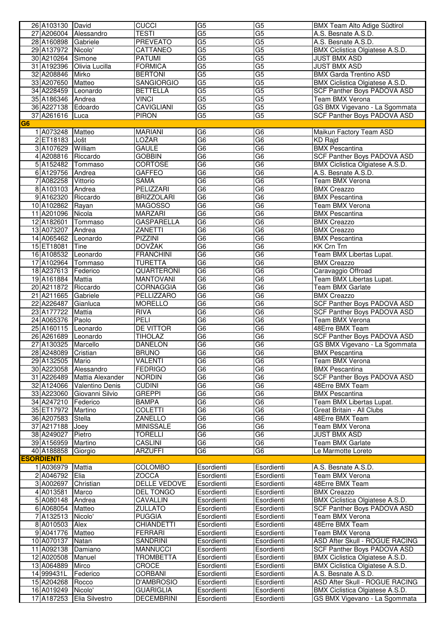|                | 26 A103130 David    |                           | <b>CUCCI</b>        | G <sub>5</sub>  | $\overline{G5}$          | BMX Team Alto Adige Südtirol           |
|----------------|---------------------|---------------------------|---------------------|-----------------|--------------------------|----------------------------------------|
|                |                     | 27 A206004 Alessandro     | TESTI               | G5              | G <sub>5</sub>           | A.S. Besnate A.S.D.                    |
|                | 28 A160898 Gabriele |                           | <b>PREVEATO</b>     | G <sub>5</sub>  | G <sub>5</sub>           | A.S. Besnate A.S.D.                    |
|                | 29 A137972 Nicolo'  |                           | CATTANEO            | G5              | G5                       | BMX Ciclistica Olgiatese A.S.D.        |
|                | 30 A210264 Simone   |                           | <b>PATUMI</b>       | G <sub>5</sub>  | G <sub>5</sub>           | <b>JUST BMX ASD</b>                    |
|                |                     | 31 A192396 Olivia Lucilla | <b>FORMICA</b>      | G <sub>5</sub>  | G <sub>5</sub>           | <b>JUST BMX ASD</b>                    |
|                | 32 A208846 Mirko    |                           | <b>BERTONI</b>      | G <sub>5</sub>  | G5                       | <b>BMX Garda Trentino ASD</b>          |
|                | 33 A207650          |                           | <b>SANGIORGIO</b>   | G <sub>5</sub>  | G <sub>5</sub>           |                                        |
|                |                     | Matteo                    |                     |                 |                          | BMX Ciclistica Olgiatese A.S.D.        |
|                | 34 A228459 Leonardo |                           | <b>BETTELLA</b>     | G <sub>5</sub>  | G5                       | SCF Panther Boys PADOVA ASD            |
|                | 35 A186346 Andrea   |                           | <b>VINCI</b>        | G <sub>5</sub>  | G5                       | <b>Team BMX Verona</b>                 |
|                | 36 A227138 Edoardo  |                           | <b>CAVIGLIANI</b>   | $\overline{G5}$ | $\overline{G5}$          | GS BMX Vigevano - La Sgommata          |
|                | 37 A261616          | Luca                      | <b>PIRON</b>        | G5              | G <sub>5</sub>           | <b>SCF Panther Boys PADOVA ASD</b>     |
| G <sub>6</sub> |                     |                           |                     |                 |                          |                                        |
|                | 1 A073248           | Matteo                    | <b>MARIANI</b>      | G6              | G <sub>6</sub>           | Maikun Factory Team ASD                |
|                | 2 ET18183 Jošt      |                           | LOŽAR               | $\overline{G6}$ | $\overline{\mathsf{G6}}$ | <b>KD Rajd</b>                         |
|                | 3 A107629 William   |                           | <b>GAULE</b>        | G6              | G6                       | <b>BMX Pescantina</b>                  |
|                | 4 A208816 Riccardo  |                           | <b>GOBBIN</b>       | G <sub>6</sub>  | G <sub>6</sub>           | SCF Panther Boys PADOVA ASD            |
|                | 5 A152482 Tommaso   |                           | <b>CORTOSE</b>      | G <sub>6</sub>  | G <sub>6</sub>           | BMX Ciclistica Olgiatese A.S.D.        |
|                | 6 A129756 Andrea    |                           | <b>GAFFEO</b>       | $\overline{G6}$ | G6                       | A.S. Besnate A.S.D.                    |
|                | 7 A082258 Vittorio  |                           | <b>SAMA</b>         | G <sub>6</sub>  | G <sub>6</sub>           | <b>Team BMX Verona</b>                 |
|                | 8 A103103 Andrea    |                           | <b>PELIZZARI</b>    | G6              | $\overline{G6}$          | <b>BMX Creazzo</b>                     |
|                | 9 A162320           | Riccardo                  | <b>BRIZZOLARI</b>   | G <sub>6</sub>  | G <sub>6</sub>           | <b>BMX Pescantina</b>                  |
|                | 10 A102862          | Rayan                     | <b>MAGOSSO</b>      | G <sub>6</sub>  | G6                       | Team BMX Verona                        |
|                | 11 A201096          | Nicola                    | <b>MARZARI</b>      | G <sub>6</sub>  | G <sub>6</sub>           | <b>BMX Pescantina</b>                  |
|                | 12 A182601          |                           | <b>GASPARELLA</b>   | G <sub>6</sub>  | G6                       | <b>BMX Creazzo</b>                     |
|                |                     | Tommaso                   | <b>ZANETTI</b>      | $\overline{G6}$ | $\overline{G6}$          |                                        |
|                | 13 A073207          | Andrea                    |                     |                 |                          | <b>BMX Creazzo</b>                     |
|                | 14 A065462 Leonardo |                           | <b>PIZZINI</b>      | G <sub>6</sub>  | G <sub>6</sub>           | <b>BMX Pescantina</b>                  |
|                | 15 ET18081          | Tine                      | <b>DOVŽAK</b>       | G <sub>6</sub>  | G <sub>6</sub>           | <b>KK Crn Trn</b>                      |
|                | 16 A108532          | Leonardo                  | <b>FRANCHINI</b>    | G <sub>6</sub>  | G <sub>6</sub>           | Team BMX Libertas Lupat.               |
|                | 17 A102964 Tommaso  |                           | <b>TURETTA</b>      | G <sub>6</sub>  | G6                       | <b>BMX</b> Creazzo                     |
|                | 18 A237613 Federico |                           | <b>QUARTERONI</b>   | G <sub>6</sub>  | G <sub>6</sub>           | Caravaggio Offroad                     |
|                | 19 A161884          | <b>Mattia</b>             | <b>MANTOVANI</b>    | G6              | $\overline{G6}$          | Team BMX Libertas Lupat.               |
|                | 20 A211872          | Riccardo                  | <b>CORNAGGIA</b>    | G <sub>6</sub>  | G <sub>6</sub>           | <b>Team BMX Garlate</b>                |
|                | 21 A211665          | Gabriele                  | <b>PELLIZZARO</b>   | G <sub>6</sub>  | G6                       | <b>BMX Creazzo</b>                     |
|                | 22 A226487          | Gianluca                  | <b>MORELLO</b>      | G <sub>6</sub>  | $\overline{G6}$          | SCF Panther Boys PADOVA ASD            |
|                | 23 A177722          | Mattia                    | <b>RIVA</b>         | G <sub>6</sub>  | G <sub>6</sub>           | SCF Panther Boys PADOVA ASD            |
|                | 24 A065376 Paolo    |                           | PELI                | G6              | G6                       | Team BMX Verona                        |
|                | 25 A160115 Leonardo |                           | <b>DE VITTOR</b>    | G <sub>6</sub>  | G <sub>6</sub>           | 48Erre BMX Team                        |
|                | 26 A261689 Leonardo |                           | <b>TIHOLAZ</b>      | G <sub>6</sub>  | G6                       | <b>SCF Panther Boys PADOVA ASD</b>     |
|                | 27 A130325          | Marcello                  | <b>DANELON</b>      | G <sub>6</sub>  | G <sub>6</sub>           | GS BMX Vigevano - La Sgommata          |
|                | 28 A248089          | Cristian                  | <b>BRUNO</b>        | G <sub>6</sub>  | G <sub>6</sub>           | <b>BMX Pescantina</b>                  |
|                | 29 A132505 Mario    |                           | <b>VALENTI</b>      | G <sub>6</sub>  | G6                       | Team BMX Verona                        |
|                | 30 A223058          | Alessandro                | <b>FEDRIGO</b>      | G <sub>6</sub>  | G6                       | <b>BMX Pescantina</b>                  |
|                | 31 A226489          | Mattia Alexander          | <b>NORDIN</b>       | G <sub>6</sub>  | G <sub>6</sub>           | SCF Panther Boys PADOVA ASD            |
|                | 32 A124066          |                           |                     | G <sub>6</sub>  |                          |                                        |
|                |                     | Valentino Denis           | <b>CUDINI</b>       |                 | G <sub>6</sub>           | 48Erre BMX Team                        |
|                | 33 A223060          | Giovanni Silvio           | <b>GREPPI</b>       | $\overline{G6}$ | G <sub>6</sub>           | <b>BMX Pescantina</b>                  |
|                | 34 A247210          | Federico                  | <b>BAMPA</b>        | G6              | G6                       | Team BMX Libertas Lupat.               |
|                | 35 ET17972          | Martino                   | <b>COLETTI</b>      | G <sub>6</sub>  | G6                       | Great Britain - All Clubs              |
|                | 36 A207583          | Stella                    | ZANELLO             | G6              | G6                       | 48Erre BMX Team                        |
|                | 37 A217188          | Joey                      | <b>MINISSALE</b>    | G <sub>6</sub>  | G6                       | Team BMX Verona                        |
|                | 38 A249027          | Pietro                    | <b>TORELLI</b>      | G6              | G <sub>6</sub>           | JUST BMX ASD                           |
|                | 39 A156959          | Martino                   | CASLINI             | G <sub>6</sub>  | G6                       | Team BMX Garlate                       |
|                | 40 A188858          | Giorgio                   | <b>ARZUFFI</b>      | G6              | G <sub>6</sub>           | Le Marmotte Loreto                     |
|                | <b>ESORDIENTI</b>   |                           |                     |                 |                          |                                        |
|                | 1A036979            | Mattia                    | <b>COLOMBO</b>      | Esordienti      | Esordienti               | A.S. Besnate A.S.D.                    |
|                | 2 A046792           | Elia                      | <b>ZOCCA</b>        | Esordienti      | Esordienti               | Team BMX Verona                        |
|                | 3 A002697           | Christian                 | <b>DELLE VEDOVE</b> | Esordienti      | Esordienti               | 48Erre BMX Team                        |
|                | 4 A013581           | Marco                     | <b>DEL TONGO</b>    | Esordienti      | Esordienti               | <b>BMX Creazzo</b>                     |
|                | 5 A080148           | Andrea                    | CAVALLIN            | Esordienti      | Esordienti               | <b>BMX Ciclistica Olgiatese A.S.D.</b> |
|                | 6 A068054           | Matteo                    | ZULLATO             | Esordienti      | Esordienti               | SCF Panther Boys PADOVA ASD            |
|                | 7 A132513           | Nicolo'                   | <b>PUGGIA</b>       | Esordienti      | Esordienti               | Team BMX Verona                        |
|                | 8 A010503           | Alex                      | CHIANDETTI          | Esordienti      | Esordienti               | 48Erre BMX Team                        |
|                | 9 A041776           | Matteo                    | <b>FERRARI</b>      | Esordienti      | Esordienti               | Team BMX Verona                        |
|                | 10 A070137          | Natan                     | SANDRINI            | Esordienti      | Esordienti               | ASD After Skull - ROGUE RACING         |
|                | 11 A092138          | Damiano                   | <b>MANNUCCI</b>     | Esordienti      | Esordienti               | <b>SCF Panther Boys PADOVA ASD</b>     |
|                | 12 A020508          |                           | <b>TROMBETTA</b>    | Esordienti      |                          | BMX Ciclistica Olgiatese A.S.D.        |
|                |                     | Manuel                    |                     |                 | Esordienti               |                                        |
|                | 13 A064889          | Mirco                     | CROCE               | Esordienti      | Esordienti               | BMX Ciclistica Olgiatese A.S.D.        |
|                | 14 999431L          | Federico                  | CORBANI             | Esordienti      | Esordienti               | A.S. Besnate A.S.D.                    |
|                | 15 A204268          | Rocco                     | D'AMBROSIO          | Esordienti      | Esordienti               | ASD After Skull - ROGUE RACING         |
|                | 16 A019249          | Nicolo'                   | <b>GUARIGLIA</b>    | Esordienti      | Esordienti               | BMX Ciclistica Olgiatese A.S.D.        |
|                | 17 A187253          | Elia Silvestro            | <b>DECEMBRINI</b>   | Esordienti      | Esordienti               | GS BMX Vigevano - La Sgommata          |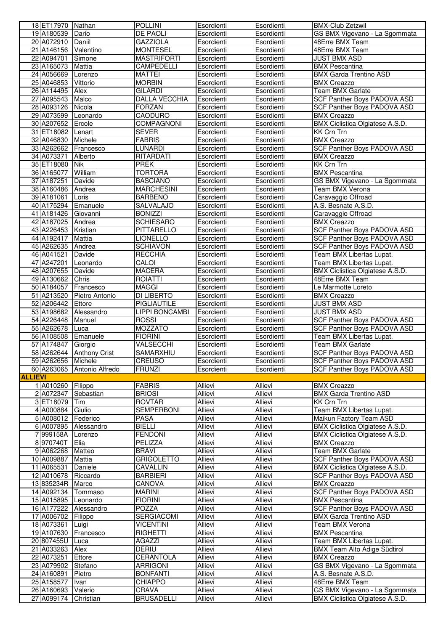|                | 18 ET17970 Nathan    |                          | <b>POLLINI</b>        | Esordienti     | Esordienti     | <b>BMX-Club Zetzwil</b>                |
|----------------|----------------------|--------------------------|-----------------------|----------------|----------------|----------------------------------------|
|                | 19 A180539           | Dario                    | DE PAOLI              | Esordienti     | Esordienti     | GS BMX Vigevano - La Sgommata          |
|                | 20 A072910 Daniil    |                          | <b>GAZZIOLA</b>       | Esordienti     | Esordienti     | 48Erre BMX Team                        |
|                | 21 A146156 Valentino |                          | <b>MONTESEL</b>       | Esordienti     | Esordienti     | 48Erre BMX Team                        |
|                | 22 A094701           | Simone                   | <b>MASTRIFORTI</b>    | Esordienti     | Esordienti     | JUST BMX ASD                           |
|                | 23 A165073           | Mattia                   | CAMPEDELLI            | Esordienti     | Esordienti     | <b>BMX Pescantina</b>                  |
|                | 24 A056669           | Lorenzo                  | <b>MATTEI</b>         | Esordienti     | Esordienti     | <b>BMX Garda Trentino ASD</b>          |
|                | 25 A046853           | Vittorio                 | <b>MORBIN</b>         | Esordienti     | Esordienti     | <b>BMX</b> Creazzo                     |
|                |                      |                          |                       |                |                |                                        |
|                | 26 A114495           | Alex                     | GILARDI               | Esordienti     | Esordienti     | Team BMX Garlate                       |
|                | 27 A095543           | Malco                    | <b>DALLA VECCHIA</b>  | Esordienti     | Esordienti     | <b>SCF Panther Boys PADOVA ASD</b>     |
|                | 28 A093126           | Nicola                   | <b>FORZAN</b>         | Esordienti     | Esordienti     | SCF Panther Boys PADOVA ASD            |
|                | 29 A073599           | Leonardo                 | CAODURO               | Esordienti     | Esordienti     | <b>BMX Creazzo</b>                     |
|                | 30 A207652           | Ercole                   | <b>COMPAGNONI</b>     | Esordienti     | Esordienti     | <b>BMX Ciclistica Olgiatese A.S.D.</b> |
|                | 31 ET18082           | Lenart                   | <b>SEVER</b>          | Esordienti     | Esordienti     | <b>KK Crn Trn</b>                      |
|                | 32 A046830           | Michele                  | <b>FABRIS</b>         | Esordienti     | Esordienti     | <b>BMX Creazzo</b>                     |
|                | 33 A262662           | Francesco                | LUNARDI               | Esordienti     | Esordienti     | SCF Panther Boys PADOVA ASD            |
|                | 34 A073371           | Alberto                  | RITARDATI             | Esordienti     | Esordienti     | <b>BMX Creazzo</b>                     |
|                | 35 ET18080           | <b>Nik</b>               | <b>PREK</b>           | Esordienti     | Esordienti     | KK Crn Trn                             |
|                | 36 A165077           | William                  | <b>TORTORA</b>        | Esordienti     | Esordienti     | <b>BMX Pescantina</b>                  |
|                | 37 A187251           | Davide                   | <b>BASCIANO</b>       | Esordienti     | Esordienti     | GS BMX Vigevano - La Sgommata          |
|                |                      |                          |                       |                |                |                                        |
|                | 38 A160486           | Andrea                   | <b>MARCHESINI</b>     | Esordienti     | Esordienti     | Team BMX Verona                        |
|                | 39 A181061           | Loris                    | <b>BARBENO</b>        | Esordienti     | Esordienti     | Caravaggio Offroad                     |
|                | 40 A175294           | Emanuele                 | SALVALAJO             | Esordienti     | Esordienti     | A.S. Besnate A.S.D.                    |
|                | 41 A181426           | Giovanni                 | <b>BONIZZI</b>        | Esordienti     | Esordienti     | Caravaggio Offroad                     |
|                | 42 A187025           | Andrea                   | <b>SCHIESARO</b>      | Esordienti     | Esordienti     | <b>BMX Creazzo</b>                     |
|                | 43 A226453           | Kristian                 | PITTARELLO            | Esordienti     | Esordienti     | SCF Panther Boys PADOVA ASD            |
|                | 44 A192417           | Mattia                   | LIONELLO              | Esordienti     | Esordienti     | SCF Panther Boys PADOVA ASD            |
|                | 45 A262635           | Andrea                   | <b>SCHIAVON</b>       | Esordienti     | Esordienti     | <b>SCF Panther Boys PADOVA ASD</b>     |
|                | 46 A041521           | Davide                   | <b>RECCHIA</b>        | Esordienti     | Esordienti     | Team BMX Libertas Lupat.               |
|                | 47 A247201           | Leonardo                 | CALOI                 | Esordienti     | Esordienti     | Team BMX Libertas Lupat.               |
|                | 48 A207655           | Davide                   | <b>MACERA</b>         | Esordienti     | Esordienti     | BMX Ciclistica Olgiatese A.S.D.        |
|                | 49 A130662           | Chris                    | <b>ROIATTI</b>        | Esordienti     | Esordienti     | 48Erre BMX Team                        |
|                | 50 A184057           | Francesco                | MAGGI                 | Esordienti     | Esordienti     | Le Marmotte Loreto                     |
|                | 51 A213520           |                          | DI LIBERTO            |                |                | <b>BMX</b> Creazzo                     |
|                |                      | Pietro Antonio           |                       | Esordienti     | Esordienti     |                                        |
|                | 52 A206442           | Ettore                   | PIGLIAUTILE           | Esordienti     | Esordienti     | <b>JUST BMX ASD</b>                    |
|                | 53 A198682           | Alessandro               | <b>LIPPI BONCAMBI</b> | Esordienti     | Esordienti     | <b>JUST BMX ASD</b>                    |
|                | 54 A226448           | Manuel                   | <b>ROSSI</b>          | Esordienti     | Esordienti     | SCF Panther Boys PADOVA ASD            |
|                | 55 A262678           | Luca                     | MOZZATO               | Esordienti     | Esordienti     | SCF Panther Boys PADOVA ASD            |
|                | 56 A108508           | Emanuele                 | <b>FIORINI</b>        | Esordienti     | Esordienti     | Team BMX Libertas Lupat.               |
|                | 57 A174847           | Giorgio                  | VALSECCHI             | Esordienti     | Esordienti     | Team BMX Garlate                       |
|                |                      | 58 A262644 Anthony Crist | SAMARXHIU             | Esordienti     | Esordienti     | SCF Panther Boys PADOVA ASD            |
|                | 59 A262656 Michele   |                          | <b>CREUSO</b>         | Esordienti     | Esordienti     | SCF Panther Boys PADOVA ASD            |
|                | 60 A263065           | Antonio Alfredo          | <b>FRUNZI</b>         | Esordienti     | Esordienti     | SCF Panther Boys PADOVA ASD            |
| <b>ALLIEVI</b> |                      |                          |                       |                |                |                                        |
|                | 1 A010260            | Filippo                  | <b>FABRIS</b>         | Allievi        | Allievi        | <b>BMX Creazzo</b>                     |
|                | 2 A072347            | Sebastian                | <b>BRIOSI</b>         | Allievi        | Allievi        | <b>BMX Garda Trentino ASD</b>          |
|                | 3 ET18079 Tim        |                          | <b>ROVTAR</b>         | Allievi        | <b>Allievi</b> | <b>KK Crn Trn</b>                      |
|                | 4 A000884            |                          | <b>SEMPERBONI</b>     | Allievi        | Allievi        | Team BMX Libertas Lupat.               |
|                |                      | Giulio                   |                       |                |                |                                        |
|                | 5 A008012            | Federico                 | PASA                  | Allievi        | Allievi        | Maikun Factory Team ASD                |
|                | 6 A007895            | Alessandro               | <b>BIELLI</b>         | Allievi        | Allievi        | BMX Ciclistica Olgiatese A.S.D.        |
|                | 7 999158A            | Lorenzo                  | <b>FENDONI</b>        | Allievi        | Allievi        | BMX Ciclistica Olgiatese A.S.D.        |
|                | 8970740T             | Elia                     | <b>PELIZZA</b>        | <b>Allievi</b> | Allievi        | <b>BMX Creazzo</b>                     |
|                | 9 A062268            | Matteo                   | <b>BRAVI</b>          | Allievi        | Allievi        | <b>Team BMX Garlate</b>                |
|                | 10 A009887           | Mattia                   | <b>GRIGOLETTO</b>     | Allievi        | Allievi        | <b>SCF Panther Boys PADOVA ASD</b>     |
|                | 11 A065531           | Daniele                  | CAVALLIN              | Allievi        | Allievi        | BMX Ciclistica Olgiatese A.S.D.        |
|                | 12 A010678           | Riccardo                 | <b>BARBIERI</b>       | Allievi        | Allievi        | SCF Panther Boys PADOVA ASD            |
|                | 13 835234R           | Marco                    | CANOVA                | Allievi        | Allievi        | <b>BMX Creazzo</b>                     |
|                | 14 A092134           | Tommaso                  | <b>MARINI</b>         | Allievi        | Allievi        | <b>SCF Panther Boys PADOVA ASD</b>     |
|                | 15 A015895           | Leonardo                 | <b>FIORINI</b>        | Allievi        | Allievi        | <b>BMX Pescantina</b>                  |
|                | 16 A177222           | Alessandro               | POZZA                 | Allievi        | Allievi        | <b>SCF Panther Boys PADOVA ASD</b>     |
|                | 17 A006702           | Filippo                  | <b>SERGIACOMI</b>     | Allievi        | <b>Allievi</b> | <b>BMX Garda Trentino ASD</b>          |
|                | 18 A073361           | Luigi                    | <b>VICENTINI</b>      | Allievi        | Allievi        | Team BMX Verona                        |
|                | 19 A107630           |                          | <b>RIGHETTI</b>       | <b>Allievi</b> |                |                                        |
|                |                      | Francesco                |                       |                | Allievi        | <b>BMX Pescantina</b>                  |
|                | 20 807455U           | Luca                     | <b>AGAZZI</b>         | Allievi        | Allievi        | Team BMX Libertas Lupat.               |
|                | 21 A033263           | Alex                     | DERIU                 | Allievi        | Allievi        | BMX Team Alto Adige Südtirol           |
|                | 22 A073251           | Ettore                   | CERANTOLA             | Allievi        | Allievi        | <b>BMX Creazzo</b>                     |
|                | 23 A079902           | Stefano                  | ARRIGONI              | Allievi        | Allievi        | GS BMX Vigevano - La Sgommata          |
|                | 24 A160891           | Pietro                   | <b>BONFANTI</b>       | Allievi        | Allievi        | A.S. Besnate A.S.D.                    |
|                | 25 A158577           | Ivan                     | <b>CHIAPPO</b>        | Allievi        | Allievi        | 48Erre BMX Team                        |
|                | 26 A160693           | Valerio                  | CRAVA                 | Allievi        | Allievi        | GS BMX Vigevano - La Sgommata          |
|                | 27 A099174           | Christian                | <b>BRUSADELLI</b>     | Allievi        | Allievi        | BMX Ciclistica Olgiatese A.S.D.        |
|                |                      |                          |                       |                |                |                                        |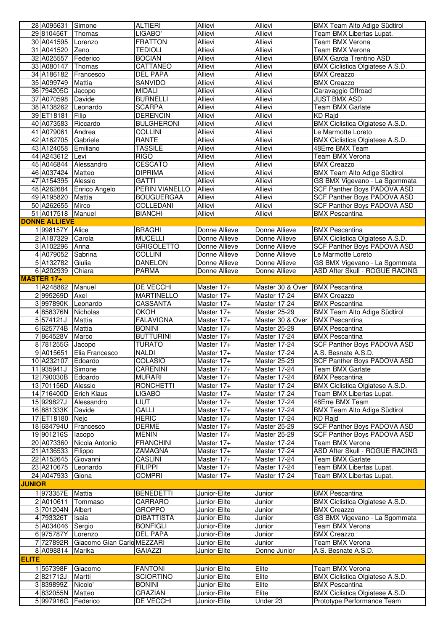|               | 28 A095631           | Simone                     | <b>ALTIERI</b>              | Allievi                      | Allievi           | BMX Team Alto Adige Südtirol                                  |
|---------------|----------------------|----------------------------|-----------------------------|------------------------------|-------------------|---------------------------------------------------------------|
|               | 29 810456T           | Thomas                     | LIGABO'                     | <b>Allievi</b>               | Allievi           | Team BMX Libertas Lupat.                                      |
|               | 30 A041595           | Lorenzo                    | <b>FRATTON</b>              | <b>Allievi</b>               | <b>Allievi</b>    | <b>Team BMX Verona</b>                                        |
|               | 31 A041520 Zeno      |                            | <b>TEDIOLI</b>              | Allievi                      | Allievi           | <b>Team BMX Verona</b>                                        |
|               | 32 A025557           | Federico                   | <b>BOCIAN</b>               | Allievi                      | Allievi           | <b>BMX Garda Trentino ASD</b>                                 |
|               | 33 A080147           | Thomas                     | CATTANEO                    | <b>Allievi</b>               | <b>Allievi</b>    | BMX Ciclistica Olgiatese A.S.D.                               |
|               | 34 A186182           | Francesco                  | DEL PAPA                    | Allievi                      | Allievi           | <b>BMX</b> Creazzo                                            |
|               | 35 A099749           | Mattia                     | SANVIDO                     | <b>Allievi</b>               | Allievi           | <b>BMX Creazzo</b>                                            |
|               | 36 794205C           | Jacopo                     | <b>MIDALI</b>               | Allievi                      | Allievi           | Caravaggio Offroad                                            |
|               | 37 A070598           | Davide                     | <b>BURNELLI</b>             | Allievi                      | Allievi           | <b>JUST BMX ASD</b>                                           |
|               | 38 A138262           | Leonardo                   | <b>SCARPA</b>               | Allievi                      | Allievi           | Team BMX Garlate                                              |
|               | 39 ET18181           | Filip                      | <b>DERENCIN</b>             | Allievi                      | Allievi           | KD Rajd                                                       |
|               | 40 A073583           | Riccardo                   | <b>BULGHERONI</b>           | Allievi                      | Allievi           | <b>BMX Ciclistica Olgiatese A.S.D.</b>                        |
|               | 41 A079061           | Andrea                     | <b>COLLINI</b>              | Allievi                      | Allievi           | Le Marmotte Loreto                                            |
|               | 42 A162705 Gabriele  |                            | RANTE                       | Allievi                      | Allievi           | BMX Ciclistica Olgiatese A.S.D.                               |
|               | 43 A124058           | Emiliano                   | TASSILE                     | Allievi                      | Allievi           | 48Erre BMX Team                                               |
|               | 44 A243612           | Levi                       | <b>RIGO</b>                 | <b>Allievi</b>               | <b>Allievi</b>    | Team BMX Verona                                               |
|               | 45 A046844           | Alessandro                 | <b>CESCATO</b>              | Allievi                      | Allievi           | <b>BMX</b> Creazzo                                            |
|               | 46 A037424 Matteo    |                            | <b>DIPRIMA</b>              | Allievi                      | Allievi           | <b>BMX Team Alto Adige Südtirol</b>                           |
|               | 47 A154395 Alessio   |                            | <b>GATTI</b>                | <b>Allievi</b>               | Allievi           | GS BMX Vigevano - La Sgommata                                 |
|               | 48 A262684           | Enrico Angelo              | <b>PERIN VIANELLO</b>       | Allievi                      | Allievi           | SCF Panther Boys PADOVA ASD                                   |
|               | 49 A195820           | Mattia                     | <b>BOUGUERGAA</b>           | Allievi                      | Allievi           | SCF Panther Boys PADOVA ASD                                   |
|               | 50 A262655           | Mirco                      | COLLEDANI                   | Allievi                      | Allievi           | SCF Panther Boys PADOVA ASD                                   |
|               | 51 A017518 Manuel    |                            | <b>BIANCHI</b>              | Allievi                      | <b>Allievi</b>    | <b>BMX Pescantina</b>                                         |
|               | <b>DONNE ALLIEVE</b> |                            |                             |                              |                   |                                                               |
|               | 1998157Y             | Alice                      | <b>BRAGHI</b>               | Donne Allieve                | Donne Allieve     | <b>BMX Pescantina</b>                                         |
|               | 2 A187329            | Carola                     | <b>MUCELLI</b>              | Donne Allieve                | Donne Allieve     | BMX Ciclistica Olgiatese A.S.D.                               |
|               | 3 A102296            | Anna                       | <b>GRIGOLETTO</b>           | Donne Allieve                | Donne Allieve     | SCF Panther Boys PADOVA ASD                                   |
|               | 4 A079052            | Sabrina                    | <b>COLLINI</b>              | Donne Allieve                | Donne Allieve     | Le Marmotte Loreto                                            |
|               | 5 A132782 Giulia     |                            | <b>DANELON</b>              | Donne Allieve                | Donne Allieve     | GS BMX Vigevano - La Sgommata                                 |
|               | 6 A202939            | Chiara                     | <b>PARMA</b>                | Donne Allieve                | Donne Allieve     | <b>ASD After Skull - ROGUE RACING</b>                         |
|               | <b>MASTER 17+</b>    |                            |                             |                              |                   |                                                               |
|               | 1 A248862            | Manuel                     | DE VECCHI                   | Master 17+                   | Master 30 & Over  | <b>BMX Pescantina</b>                                         |
|               | 2995269D             | Axel                       | <b>MARTINELLO</b>           | Master 17+                   | Master 17-24      | <b>BMX Creazzo</b>                                            |
|               | 3997890K             | Leonardo                   | CASSANTA                    | Master 17+                   | Master 17-24      | <b>BMX</b> Pescantina                                         |
|               | 4 858376N Nicholas   |                            | ОКОН                        | Master 17+                   | Master 25-29      | <b>BMX Team Alto Adige Südtirol</b>                           |
|               |                      |                            |                             |                              |                   |                                                               |
|               | 5574121J             | Mattia                     | <b>FALAVIGNA</b>            | Master 17+                   | Master 30 & Over  | <b>BMX Pescantina</b>                                         |
|               | 6 625774B            | Mattia                     | <b>BONINI</b>               | Master 17+                   | Master 25-29      | <b>BMX Pescantina</b>                                         |
|               | 7864528V             | Marco                      | <b>BUTTURINI</b>            | Master 17+                   | Master 17-24      | <b>BMX Pescantina</b>                                         |
|               | 8 781255G Jacopo     |                            | <b>TURATO</b>               | Master 17+                   | Master 17-24      | <b>SCF Panther Boys PADOVA ASD</b>                            |
|               |                      | 9 A015651 Elia Francesco   | NALDI                       | Master 17+                   | Master 17-24      | A.S. Besnate A.S.D.                                           |
|               | 10 A232107 Edoardo   |                            | <b>COLASIO</b>              | Master 17+                   | Master 25-29      | SCF Panther Boys PADOVA ASD                                   |
|               | 11 935941J           | Simone                     | <b>CARENINI</b>             | Master 17+                   | Master 17-24      | <b>Team BMX Garlate</b>                                       |
|               | 12 790030B           | Edoardo                    | <b>MURARI</b>               | Master 17+                   | Master 17-24      | <b>BMX Pescantina</b>                                         |
|               | 13 701156D           | Alessio                    | <b>RONCHETTI</b>            | Master 17+                   | Master 17-24      | BMX Ciclistica Olgiatese A.S.D.                               |
|               | 14 716400D           | <b>Erich Klaus</b>         | LIGABÒ                      | Master 17+                   | Master 17-24      | Team BMX Libertas Lupat.                                      |
|               | 15 929827J           | Alessandro                 | <b>LIUT</b>                 | Master 17+                   | Master 17-24      | 48Erre BMX Team                                               |
|               | 16881333K            | Davide                     | GALLI                       | Master 17+                   | Master 17-24      | <b>BMX Team Alto Adige Südtirol</b>                           |
|               | 17 ET18180 Nejc      |                            | <b>HERIC</b>                | Master 17+                   | Master 17-24      | KD Rajd                                                       |
|               | 18 684794U           | Francesco                  | <b>DERME</b>                | Master 17+                   | Master 25-29      | SCF Panther Boys PADOVA ASD                                   |
|               | 19 901216S           | lacopo                     | <b>MENIN</b>                | Master 17+                   | Master 25-29      | SCF Panther Boys PADOVA ASD                                   |
|               | 20 A073360           | Nicola Antonio             | <b>FRANCHINI</b>            | Master 17+                   | Master 17-24      | Team BMX Verona                                               |
|               | 21 A136533           | Filippo                    | ZAMAGNA                     | Master 17+                   | Master 17-24      | ASD After Skull - ROGUE RACING                                |
|               | 22 A152645           | Giovanni                   | CASLINI                     | Master 17+                   | Master 17-24      | Team BMX Garlate                                              |
|               | 23 A210675           | Leonardo                   | <b>FILIPPI</b>              | Master 17+                   | Master 17-24      | Team BMX Libertas Lupat.                                      |
|               | 24 A047933           | Giona                      | <b>COMPRI</b>               | Master 17+                   | Master 17-24      | Team BMX Libertas Lupat.                                      |
| <b>JUNIOR</b> |                      |                            |                             |                              |                   |                                                               |
|               | 1973357E             | Mattia                     | <b>BENEDETTI</b>            | Junior-Elite                 | Junior            | <b>BMX Pescantina</b>                                         |
|               | 2 A010611            | Tommaso                    | CARRARO                     | Junior-Elite                 | Junior            | BMX Ciclistica Olgiatese A.S.D.                               |
|               | 3 701204N            | Albert                     | <b>GROPPO</b>               | Junior-Elite                 | Junior            | <b>BMX Creazzo</b>                                            |
|               | 4 793326T            | Isaia                      | <b>DIBATTISTA</b>           | Junior-Elite                 | Junior            | GS BMX Vigevano - La Sgommata                                 |
|               | 5 A034046            | Sergio                     | <b>BONFIGLI</b>             | Junior-Elite                 | Junior            | Team BMX Verona                                               |
|               | 6 975787Y            | Lorenzo                    | DEL PAPA                    | Junior-Elite                 | Junior            | <b>BMX Creazzo</b>                                            |
|               | 7 727892R            | Giacomo Gian Carlo MEZZARI |                             | Junior-Elite                 | Junior            | Team BMX Verona                                               |
|               | 8 A098814            | Marika                     | <b>GAIAZZI</b>              | Junior-Elite                 | Donne Junior      | A.S. Besnate A.S.D.                                           |
| <b>ELITE</b>  |                      |                            |                             |                              |                   |                                                               |
|               | 1 557398F            | Giacomo                    | <b>FANTONI</b>              | Junior-Elite                 | Elite             | Team BMX Verona                                               |
|               | 2821712J             | Martti                     | <b>SCIORTINO</b>            | Junior-Elite                 | Elite             | <b>BMX Ciclistica Olgiatese A.S.D.</b>                        |
|               | 3839899Z             | Nicolo'                    | <b>BONINI</b>               | Junior-Elite                 | Elite             | <b>BMX Pescantina</b>                                         |
|               | 4832055N<br>5997916G | Matteo<br>Federico         | <b>GRAZIAN</b><br>DE VECCHI | Junior-Elite<br>Junior-Elite | Elite<br>Under 23 | BMX Ciclistica Olgiatese A.S.D.<br>Prototype Performance Team |